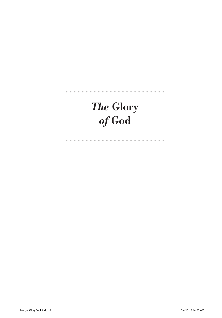# *The Glory* of God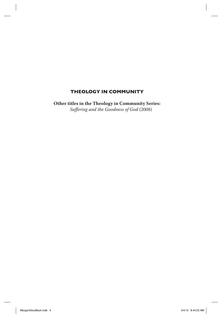## **THEOLOGY IN COMMUNITY**

**Other titles in the Theology in Community Series:** Suffering and the Goodness of God (2008)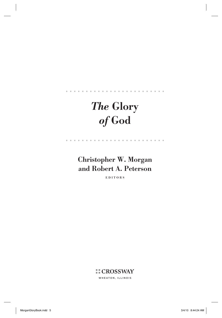# *The Glory* of God

Christopher W. Morgan and Robert A. Peterson

EDITORS

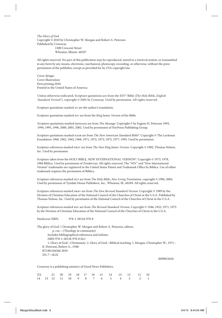The Glory of God Copyright © 2010 by Christopher W. Morgan and Robert A. Peterson Published by Crossway 1300 Crescent Street Wheaton, Illinois 60187

All rights reserved. No part of this publication may be reproduced, stored in a retrieval system, or transmitted in any form by any means, electronic, mechanical, photocopy, recording, or otherwise, without the prior permission of the publisher, except as provided for by USA copyright law.

Cover design: Cover illustration: First printing 2010 Printed in the United States of America

Unless otherwise indicated, Scripture quotations are from the ESV® Bible (The Holy Bible, English Standard Version®), copyright © 2001 by Crossway. Used by permission. All rights reserved.

Scripture quotations marked AT are the author's translation.

Scripture quotations marked **KJV** are from the *King James Version* of the Bible.

Scripture quotations marked MESSAGE are from The Message. Copyright © by Eugene H. Peterson 1993, 1994, 1995, 1996, 2000, 2001, 2002. Used by permission of NavPress Publishing Group.

Scripture quotations marked NASB are from The New American Standard Bible®. Copyright © The Lockman Foundation 1960, 1962, 1963, 1968, 1971, 1972, 1973, 1975, 1977, 1995. Used by permission.

Scripture references marked NKJV are from The New King James Version. Copyright © 1982, Thomas Nelson, Inc. Used by permission.

Scripture taken from the HOLY BIBLE, NEW INTERNATIONAL VERSION®. Copyright © 1973, 1978, 1984 Biblica. Used by permission of Zondervan. All rights reserved. The "NIV" and "New International Version" trademarks are registered in the United States Patent and Trademark Office by Biblica. Use of either trademark requires the permission of Biblica.

Scripture references marked NLT are from The Holy Bible, New Living Translation, copyright © 1996, 2004. Used by permission of Tyndale House Publishers, Inc., Wheaton, Ill., 60189. All rights reserved.

Scripture references marked NRSV are from The New Revised Standard Version. Copyright © 1989 by the Division of Christian Education of the National Council of the Churches of Christ in the U.S.A. Published by Thomas Nelson, Inc. Used by permission of the National Council of the Churches of Christ in the U.S.A.

Scripture references marked RSV are from The Revised Standard Version. Copyright © 1946, 1952, 1971, 1973 by the Division of Christian Education of the National Council of the Churches of Christ in the U.S.A.

Hardcover ISBN: 978-1-58134-978-8

The glory of God / Christopher W. Morgan and Robert A. Peterson, editors. p. cm.—(Theology in community) Includes bibliographical references and indexes. ISBN 978-1-58134-978-8 (hc) 1. Glory of God—Christianity. 2. Glory of God—Biblical teaching. I. Morgan, Christopher W., 1971– II. Peterson, Robert A., 1948- BT180.G6G66 2010 231.7—dc22

2009053434

Crossway is a publishing ministry of Good News Publishers.

|  |  |  |  |  | XX 21 20 19 18 17 16 15 14 13 12 11 10                     |  |
|--|--|--|--|--|------------------------------------------------------------|--|
|  |  |  |  |  | 14   13   12   11   10   9   8   7   6   5   4   3   2   1 |  |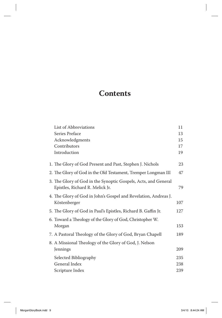## **Contents**

| List of Abbreviations                                                                             | 11  |
|---------------------------------------------------------------------------------------------------|-----|
| <b>Series Preface</b>                                                                             | 13  |
| Acknowledgments                                                                                   | 15  |
| Contributors                                                                                      | 17  |
| Introduction                                                                                      | 19  |
| 1. The Glory of God Present and Past, Stephen J. Nichols                                          | 23  |
| 2. The Glory of God in the Old Testament, Tremper Longman III                                     | 47  |
| 3. The Glory of God in the Synoptic Gospels, Acts, and General<br>Epistles, Richard R. Melick Jr. | 79  |
| 4. The Glory of God in John's Gospel and Revelation, Andreas J.<br>Köstenberger                   | 107 |
| 5. The Glory of God in Paul's Epistles, Richard B. Gaffin Jr.                                     | 127 |
| 6. Toward a Theology of the Glory of God, Christopher W.                                          |     |
| Morgan                                                                                            | 153 |
| 7. A Pastoral Theology of the Glory of God, Bryan Chapell                                         | 189 |
| 8. A Missional Theology of the Glory of God, J. Nelson                                            |     |
| Jennings                                                                                          | 209 |
| Selected Bibliography                                                                             | 235 |
| <b>General Index</b>                                                                              | 238 |
| Scripture Index                                                                                   | 239 |

 $\overline{\phantom{a}}$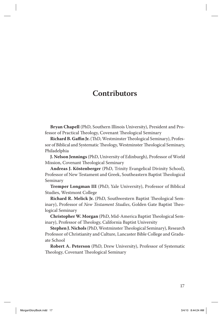## **Contributors**

**Bryan Chapell** (PhD, Southern Illinois University), President and Professor of Practical Theology, Covenant Theological Seminary

**Richard B. Gaffin Jr.** (ThD, Westminster Theological Seminary), Professor of Biblical and Systematic Theology, Westminster Theological Seminary, Philadelphia

**J. Nelson Jennings** (PhD, University of Edinburgh), Professor of World Mission, Covenant Theological Seminary

**Andreas J. Köstenberger** (PhD, Trinity Evangelical Divinity School), Professor of New Testament and Greek, Southeastern Baptist Theological Seminary

**Tremper Longman III** (PhD, Yale University), Professor of Biblical Studies, Westmont College

**Richard R. Melick Jr.** (PhD, Southwestern Baptist Theological Seminary), Professor of New Testament Studies, Golden Gate Baptist Theological Seminary

**Christopher W. Morgan** (PhD, Mid-America Baptist Theological Seminary), Professor of Theology, California Baptist University

**Stephen J. Nichols** (PhD, Westminster Theological Seminary), Research Professor of Christianity and Culture, Lancaster Bible College and Graduate School

**Robert A. Peterson** (PhD, Drew University), Professor of Systematic Theology, Covenant Theological Seminary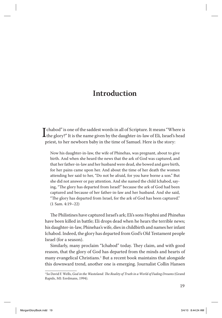## **Introduction**

I chabod" is one of the saddest words in all of Scripture. It means "Where is<br>the glory?" It is the name given by the daughter-in-law of Eli, Israel's head<br>niject, to her newhere heby in the time of Semuel. Here is the ste T chabod" is one of the saddest words in all of Scripture. It means "Where is priest, to her newborn baby in the time of Samuel. Here is the story:

Now his daughter-in-law, the wife of Phinehas, was pregnant, about to give birth. And when she heard the news that the ark of God was captured, and that her father-in-law and her husband were dead, she bowed and gave birth, for her pains came upon her. And about the time of her death the women attending her said to her, "Do not be afraid, for you have borne a son." But she did not answer or pay attention. And she named the child Ichabod, saying, "The glory has departed from Israel!" because the ark of God had been captured and because of her father-in-law and her husband. And she said, "The glory has departed from Israel, for the ark of God has been captured." (1 Sam. 4:19–22)

The Philistines have captured Israel's ark; Eli's sons Hophni and Phinehas have been killed in battle; Eli drops dead when he hears the terrible news; his daughter-in-law, Phinehas's wife, dies in childbirth and names her infant Ichabod. Indeed, the glory has departed from God's Old Testament people Israel (for a season).

Similarly, many proclaim "Ichabod" today. They claim, and with good reason, that the glory of God has departed from the minds and hearts of many evangelical Christians.<sup>1</sup> But a recent book maintains that alongside this downward trend, another one is emerging. Journalist Collin Hansen

<sup>&</sup>lt;sup>1</sup> So David F. Wells, God in the Wasteland: The Reality of Truth in a World of Fading Dreams (Grand Rapids, MI: Eerdmans, 1994).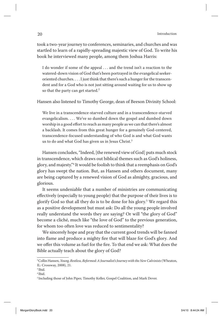took a two-year journey to conferences, seminaries, and churches and was startled to learn of a rapidly-spreading majestic view of God. To write his book he interviewed many people, among them Joshua Harris:

I do wonder if some of the appeal . . . and the trend isn't a reaction to the watered-down vision of God that's been portrayed in the evangelical seekeroriented churches. . . . I just think that there's such a hunger for the transcendent and for a God who is not just sitting around waiting for us to show up so that the party can get started.<sup>2</sup>

Hansen also listened to Timothy George, dean of Beeson Divinity School:

We live in a transcendence-starved culture and in a transcendence-starved evangelicalism. . . . We've so dumbed down the gospel and dumbed down worship in a good effort to reach as many people as we can that there's almost a backlash. It comes from this great hunger for a genuinely God-centered, transcendence-focused understanding of who God is and what God wants us to do and what God has given us in Jesus Christ.<sup>3</sup>

Hansen concludes, "Indeed, [the renewed view of God] puts much stock in transcendence, which draws out biblical themes such as God's holiness, glory, and majesty."4 It would be foolish to think that a reemphasis on God's glory has swept the nation. But, as Hansen and others document, many are being captured by a renewed vision of God as almighty, gracious, and glorious.

It seems undeniable that a number of ministries are communicating effectively (especially to young people) that the purpose of their lives is to glorify God so that all they do is to be done for his glory.5 We regard this as a positive development but must ask: Do all the young people involved really understand the words they are saying? Or will "the glory of God" become a cliché, much like "the love of God" to the previous generation, for whom too often love was reduced to sentimentality?

We sincerely hope and pray that the current good trends will be fanned into flame and produce a mighty fire that will blaze for God's glory. And we offer this volume as fuel for the fire. To that end we ask: What does the Bible actually teach about the glory of God?

<sup>&</sup>lt;sup>2</sup>Collin Hansen, Young, Restless, Reformed: A Journalist's Journey with the New Calvinists (Wheaton, IL: Crossway, 2008), 21.

<sup>3</sup> Ibid.

<sup>4</sup> Ibid.

<sup>&</sup>lt;sup>5</sup> Including those of John Piper, Timothy Keller, Gospel Coalition, and Mark Dever.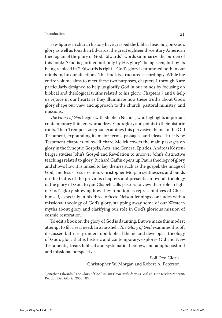### Introduction 21

Few figures in church history have grasped the biblical teaching on God's glory as well as Jonathan Edwards, the great eighteenth-century American theologian of the glory of God. Edwards's words summarize the burden of this book: "God is glorified not only by His glory's being seen, but by its being rejoiced in."6 Edwards is right—God's glory is promoted both in our minds and in our affections. This book is structured accordingly. While the entire volume aims to meet these two purposes, chapters 1 through 6 are particularly designed to help us glorify God in our minds by focusing on biblical and theological truths related to his glory. Chapters 7 and 8 help us rejoice in our hearts as they illuminate how these truths about God's glory shape our view and approach to the church, pastoral ministry, and missions.

The Glory of God begins with Stephen Nichols, who highlights important contemporary thinkers who address God's glory and points to their historic roots. Then Tremper Longman examines this pervasive theme in the Old Testament, expounding its major terms, passages, and ideas. Three New Testament chapters follow. Richard Melick covers the main passages on glory in the Synoptic Gospels, Acts, and General Epistles. Andreas Köstenberger studies John's Gospel and Revelation to uncover John's distinctive teachings related to glory. Richard Gaffin opens up Paul's theology of glory and shows how it is linked to key themes such as the gospel, the image of God, and Jesus' resurrection. Christopher Morgan synthesizes and builds on the truths of the previous chapters and presents an overall theology of the glory of God. Bryan Chapell calls pastors to view their role in light of God's glory, showing how they function as representatives of Christ himself, especially in his three offices. Nelson Jennings concludes with a missional theology of God's glory, stripping away some of our Western myths about glory and clarifying our role in God's glorious mission of cosmic restoration.

To edit a book on the glory of God is daunting. But we make this modest attempt to fill a real need. In a nutshell, *The Glory of God* examines this oft discussed but rarely understood biblical theme and develops a theology of God's glory that is historic and contemporary, explores Old and New Testaments, treats biblical and systematic theology, and adopts pastoral and missional perspectives.

> Soli Deo Gloria Christopher W. Morgan and Robert A. Peterson

 $6$  Jonathan Edwards, "The Glory of God," in Our Great and Glorious God, ed. Don Kistler (Morgan, PA: Soli Deo Gloria, 2003), 86.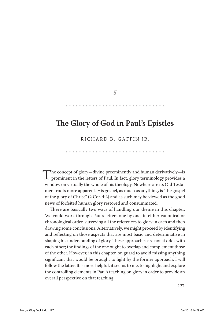## **5**

## **!e Glory of God in Paul's Epistles**

### RICHARD B. GAFFIN JR.

The concept of glory—divine preeminently and human derivatively—is<br>prominent in the letters of Paul. In fact, glory terminology provides a<br>window on virtually the subale of his theology Mauhane are its Old Testa window on virtually the whole of his theology. Nowhere are its Old Testament roots more apparent. His gospel, as much as anything, is "the gospel of the glory of Christ" (2 Cor. 4:4) and as such may be viewed as the good news of forfeited human glory restored and consummated.

There are basically two ways of handling our theme in this chapter. We could work through Paul's letters one by one, in either canonical or chronological order, surveying all the references to glory in each and then drawing some conclusions. Alternatively, we might proceed by identifying and reflecting on those aspects that are most basic and determinative in shaping his understanding of glory. These approaches are not at odds with each other; the findings of the one ought to overlap and complement those of the other. However, in this chapter, on guard to avoid missing anything significant that would be brought to light by the former approach, I will follow the latter. It is more helpful, it seems to me, to highlight and explore the controlling elements in Paul's teaching on glory in order to provide an overall perspective on that teaching.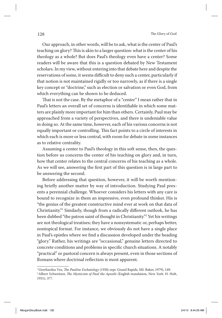Our approach, in other words, will be to ask, what is the center of Paul's teaching on glory? This is akin to a larger question: what is the center of his theology as a whole? But does Paul's theology even have a center? Some readers will be aware that this is a question debated by New Testament scholars. In my view, without entering into that debate here and despite the reservations of some, it seems difficult to deny such a center, particularly if that notion is not maintained rigidly or too narrowly, as if there is a single key concept or "doctrine," such as election or salvation or even God, from which everything can be shown to be deduced.

That is not the case. By the metaphor of a "center" I mean rather that in Paul's letters an overall set of concerns is identifiable in which some matters are plainly more important for him than others. Certainly, Paul may be approached from a variety of perspectives, and there is undeniable value in doing so. At the same time, however, each of his various concerns is not equally important or controlling. This fact points to a circle of interests in which each is more or less central, with room for debate in some instances as to relative centrality.

Assuming a center to Paul's theology in this soft sense, then, the question before us concerns the center of his teaching on glory and, in turn, how that center relates to the central concerns of his teaching as a whole. As we will see, answering the first part of this question is in large part to be answering the second.

Before addressing that question, however, it will be worth mentioning briefly another matter by way of introduction. Studying Paul presents a perennial challenge. Whoever considers his letters with any care is bound to recognize in them an impressive, even profound thinker. His is "the genius of the greatest constructive mind ever at work on that data of Christianity."1 Similarly, though from a radically different outlook, he has been dubbed "the patron saint of thought in Christianity."2 Yet his writings are not theological treatises; they have a nonsystematic or, perhaps better, nontopical format. For instance, we obviously do not have a single place in Paul's epistles where we find a discussion developed under the heading "glory." Rather, his writings are "occasional," genuine letters directed to concrete conditions and problems in specific church situations. A notably "practical" or pastoral concern is always present, even in those sections of Romans where doctrinal reflection is most apparent.

<sup>&</sup>lt;sup>1</sup> Geerhardus Vos, *The Pauline Eschatology* (1930; repr. Grand Rapids, MI: Baker, 1979), 149.

<sup>&</sup>lt;sup>2</sup> Albert Schweitzer, *The Mysticism of Paul the Apostle* (English translation, New York: H. Holt, 1931), 377.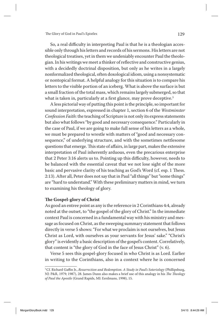So, a real difficulty in interpreting Paul is that he is a theologian accessible only through his letters and records of his sermons. His letters are not theological treatises, yet in them we undeniably encounter Paul the theologian. In his writings we meet a thinker of reflective and constructive genius, with a decidedly doctrinal disposition, but only as he writes in a largely nonformalized theological, often doxological idiom, using a nonsystematic or nontopical format. A helpful analogy for this situation is to compare his letters to the visible portion of an iceberg. What is above the surface is but a small fraction of the total mass, which remains largely submerged, so that what is taken in, particularly at a first glance, may prove deceptive.<sup>3</sup>

A less pictorial way of putting this point is the principle, so important for sound interpretation, expressed in chapter 1, section 6 of the Westminster Confession Faith: the teaching of Scripture is not only its express statements but also what follows "by good and necessary consequence." Particularly in the case of Paul, if we are going to make full sense of his letters as a whole, we must be prepared to wrestle with matters of "good and necessary consequence," of underlying structure, and with the sometimes nettlesome questions that emerge. This state of affairs, in large part, makes the extensive interpretation of Paul inherently arduous, even the precarious enterprise that 2 Peter 3:16 alerts us to. Pointing up this difficulty, however, needs to be balanced with the essential caveat that we not lose sight of the more basic and pervasive clarity of his teaching as God's Word (cf. esp. 1 Thess. 2:13). After all, Peter does not say that in Paul "all things" but "some things" are "hard to understand." With these preliminary matters in mind, we turn to examining his theology of glory.

### **The Gospel-glory of Christ**

As good an entree point as any is the reference in 2 Corinthians 4:4, already noted at the outset, to "the gospel of the glory of Christ." In the immediate context Paul is concerned in a fundamental way with his ministry and message as focused on Christ, as the sweeping summary statement that follows directly in verse 5 shows: "For what we proclaim is not ourselves, but Jesus Christ as Lord, with ourselves as your servants for Jesus' sake." "Christ's glory" is evidently a basic description of the gospel's content. Correlatively, that content is "the glory of God in the face of Jesus Christ" (v. 6).

Verse 5 sees this gospel-glory focused in who Christ is as Lord. Earlier in writing to the Corinthians, also in a context where he is concerned

<sup>&</sup>lt;sup>3</sup> Cf. Richard Gaffin Jr., Resurrection and Redemption. A Study in Paul's Soteriology (Phillipsburg, NJ: P&R, 1979; 1987), 28. James Dunn also makes a brief use of this analogy in his *The Theology* of Paul the Apostle (Grand Rapids, MI: Eerdmans, 1998), 15.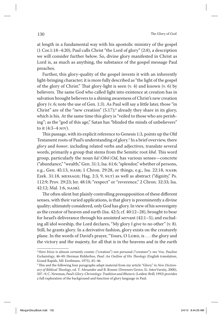at length in a fundamental way with his apostolic ministry of the gospel (1 Cor.1:18–4:20), Paul calls Christ "the Lord of glory" (2:8), a description we will consider further below. So, divine glory manifested in Christ as Lord is, as much as anything, the substance of the gospel message Paul preaches.

Further, this glory-quality of the gospel invests it with an inherently light-bringing character; it is more fully described as "the light of the gospel of the glory of Christ." That glory-light is seen  $(v. 4)$  and known  $(v. 6)$  by believers. The same God who called light into existence at creation has in salvation brought believers to a shining awareness of Christ's new creation glory (v. 6; note the use of Gen. 1:3). As Paul will say a little later, those "in Christ" are of the "new creation"  $(5:17)$ ;<sup>4</sup> already they share in its glory, which is his. At the same time this glory is "veiled to those who are perishing"; as the "god of this age," Satan has "blinded the minds of unbelievers" to it  $(4:3-4$  NIV).

This passage, with its explicit reference to Genesis 1:3, points up the Old Testament roots of Paul's understanding of glory.5 In a brief overview, there glory and honor, including related verbs and adjectives, translate several words, primarily a group that stems from the Semitic root kbd. This word group, particularly the noun  $k\bar{a} \setminus Ob \delta \setminus Od$ , has various senses—concrete ("abundance," "wealth," Gen. 31:1; Isa. 61:6; "splendor," whether of persons, e.g., Gen. 45:13, NASB; 1 Chron. 29:28, or things, e.g., Isa. 22:18, NASB; Ezek. 31:18,  $MESSAGE$ ; Hag. 2:3, 9,  $NLT$ ) as well as abstract ("dignity," Ps. 112:9; Prov. 29:23; Jer. 48:18; "respect" or "reverence," 2 Chron. 32:33; Isa. 42:12; Mal. 1:6, NASB).

The often silent but plainly controlling presupposition of these different senses, with their varied applications, is that glory is preeminently a divine quality; ultimately considered, only God has glory. In view of his sovereignty as the creator of heaven and earth (Isa. 42:5; cf. 40:12–28), brought to bear for Israel's deliverance through his anointed servant (42:1–5), and excluding all idol worship, the Lord declares, "My glory I give to no other" (v. 8). Still, he grants glory. In a derivative fashion, glory exists on the creaturely plane. In the words of David's prayer, "Yours, O LORD, is . . . the glory and the victory and the majesty, for all that is in the heavens and in the earth

<sup>&</sup>lt;sup>4</sup>Here ktisis is almost certainly cosmic ("creation") not personal ("creature"); see Vos, Pauline Eschatology, 46-49; Herman Ridderbos, Paul: An Outline of His Theology (English translation, Grand Rapids, MI: Eerdmans, 1975), 45–46.

<sup>&</sup>lt;sup>5</sup> This and the following four paragraphs adapt material from my article "Glory," in New Dictionary of Biblical Theology, ed. T. Alexander and B. Rosner (Downers Grove, IL: InterVarsity, 2000), 507–9; C. Newman, Paul's Glory-Christology: Tradition and Rhetoric (Leiden: Brill, 1992) provides a full exploration of the background and function of glory language in Paul.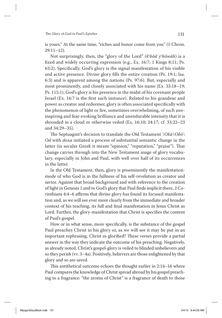is yours." At the same time, "riches and honor come from you" (1 Chron. 29:11–12).

Not surprisingly, then, the "glory of the Lord" (*k<sup>e</sup>bôd y<sup>e</sup>hôwāh*) is a fixed and widely occurring expression (e.g., Ex. 16:7; 1 Kings 8:11; Ps. 63:2). Specifically, God's glory is the signal manifestation of his visible and active presence. Divine glory fills the entire creation (Ps. 19:1; Isa. 6:3) and is apparent among the nations (Ps. 97:6). But, especially and most prominently, and closely associated with his name (Ex. 33:18–19; Ps. 115:1), God's glory is his presence in the midst of his covenant people Israel (Ex. 16:7 is the first such instance). Related to his grandeur and power as creator and redeemer, glory is often associated specifically with the phenomenon of light or fire, sometimes overwhelming, of such aweinspiring and fear-evoking brilliance and unendurable intensity that it is shrouded in a cloud or otherwise veiled (Ex. 16:10; 24:17; cf. 33:22–23 and 34:29–35).

The Septuagint's decision to translate the Old Testament  $\langle Ok\bar{a}\rangle Ob\hat{o}\rangle$ Od with doxa initiated a process of substantial semantic change in the latter (in secular Greek it meant "opinion," "reputation," "praise"). That change carries through into the New Testament usage of glory vocabulary, especially in John and Paul, with well over half of its occurrences in the latter.

In the Old Testament, then, glory is preeminently the manifestationmode of who God is in the fullness of his self-revelation as creator and savior. Against that broad background and with reference to the creation of light in Genesis 1 and to God's glory that Paul finds implicit there, 2 Corinthians 4:4–6 affirms that divine glory has found its focused manifestation and, as we will see ever more clearly from the immediate and broader context of his teaching, its full and final manifestation in Jesus Christ as Lord. Further, the glory-manifestation that Christ is specifies the content of Paul's gospel.

How or in what sense, more specifically, is the substance of the gospel Paul preaches Christ in his glory or, as we will see it may be put in an important rephrasing, Christ as glorified? These verses provide a partial answer in the way they indicate the outcome of his preaching. Negatively, as already noted, Christ's gospel-glory is veiled to blinded unbelievers and so they perish (vv. 3–4a). Positively, believers are those enlightened by that glory and so are saved.

This antithetical outcome echoes the thought earlier in 2:14–16 where Paul compares the knowledge of Christ spread abroad by his gospel preaching to a fragrance: "the aroma of Christ" is a fragrance of death to those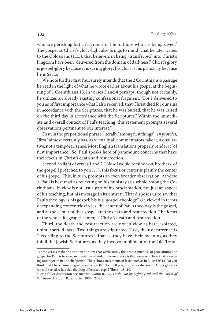who are perishing but a fragrance of life to those who are being saved.<sup>6</sup> The gospel as Christ's glory-light also brings to mind what he later writes to the Colossians (1:13), that believers in being "transferred" into Christ's kingdom have been "delivered from the domain of darkness." Christ's glory is gospel-glory because it is saving glory; his glory is his primarily because he is Savior.

We note further that Paul surely intends that the 2 Corinthians 4 passage be read in the light of what he wrote earlier about his gospel at the beginning of 1 Corinthians 15. In verses 3 and 4 perhaps, though not certainly, he utilizes an already existing confessional fragment: "For I delivered to you as of first importance what I also received: that Christ died for our sins in accordance with the Scriptures, that he was buried, that he was raised on the third day in accordance with the Scriptures." Within the immediate and overall context of Paul's teaching, this statement prompts several observations pertinent to our interest.7

First, in the prepositional phrase, literally "among first things" (en prōtois), "first" almost certainly has, as virtually all commentators take it, a qualitative, not a temporal, sense. Most English translations properly render it "of first importance." So, Paul speaks here of paramount concerns that have their focus in Christ's death and resurrection.

Second, in light of verses 1 and 2 ("Now I would remind you, brothers, of the gospel I preached to you . . ."), this focus or center is plainly the center of his gospel. This, in turn, prompts an even broader observation. At verse 1, Paul is best read as reflecting on his ministry as a whole among the Corinthians. In view is not just a part of his proclamation, not just an aspect of his teaching, but his message in its entirety. That disposes us to say that Paul's theology is his gospel; his is a "gospel-theology." Or, viewed in terms of expanding concentric circles, the center of Paul's theology is the gospel, and at the center of that gospel are the death and resurrection. The focus of the whole, its gospel-center, is Christ's death and resurrection.

Third, the death and resurrection are not in view as bare, isolated, uninterpreted facts. Two things are stipulated. First, their occurrence is "according to the Scriptures." That is, they have their meaning as they fulfill the Jewish Scriptures, as they involve fulfillment of the Old Testa-

 $6$ These verses make the important point that while surely the proper purpose of proclaiming the gospel for Paul is to save, an inevitable attendant consequence is that some who hear that preaching and reject it in unbelief perish. This echoes statements of Jesus such as in Luke 12:51 ("Do you think that I have come to give peace on earth? No, I tell you, but rather division."). God's glory, as we will see, also has this dividing effect; see esp. 2 Thess. 1:8-10.

<sup>&</sup>lt;sup>7</sup> For a fuller discussion see Richard Gaffin Jr., "By Faith, Not by Sight": Paul and the Order of Salvation (London: Paternoster, 2006), 22–30.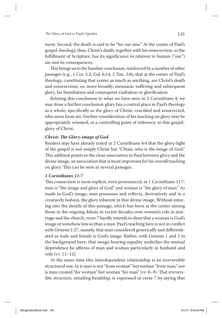ment. Second, the death is said to be "for our sins." At the center of Paul's gospel-theology, then, Christ's death, together with his resurrection, as the fulfillment of Scripture, has its significance in relation to human ("our") sin and its consequences.

This brings us to the baseline conclusion, reinforced by a number of other passages (e.g., 1 Cor. 2:2; Gal. 6:14; 2 Tim. 2:8), that at the center of Paul's theology, constituting that center as much as anything, are Christ's death and resurrection, or, more broadly, messianic suffering and subsequent glory, his humiliation and consequent exaltation or glorification.

Relating this conclusion to what we have seen in 2 Corinthians 4, we may draw a further conclusion: glory has a central place in Paul's theology as a whole, specifically as the glory of Christ, crucified and resurrected, who saves from sin. Further consideration of his teaching on glory may be appropriately oriented, as a controlling point of reference, to this gospelglory of Christ.

### **Christ: The Glory-image of God**

Readers may have already noted in 2 Corinthians 4:4 that the glory-light of the gospel is not simply Christ but "Christ, who is the image of God." This addition points to the close association in Paul between glory and the divine image, an association that is most important for his overall teaching on glory. This can be seen in several passages.

### **1 Corinthians 11:7**

This connection is most explicit, even pronounced, in 1 Corinthians 11:7: man is "the image and glory of God" and woman is "the glory of man." As made in God's image, man possesses and reflects, derivatively and in a creaturely fashion, the glory inherent in that divine image. Without entering into the details of this passage, which has been at the center among those in the ongoing debate in recent decades over women's role in marriage and the church, verse 7 hardly intends to deny that a woman is God's image or somehow less so than a man. Paul's teaching here is not in conflict with Genesis 1:27, namely, that man considered generically and differentiated as male and female is God's image. Rather, with Genesis 1 and 2 in the background here, that image-bearing equality underlies the mutual dependence he affirms of man and woman particularly as husband and wife (vv. 11–12).

At the same time this interdependent relationship is an irreversibly structured one. In it man is not "from woman" but woman "from man," nor is man created "for woman" but woman "for man" (vv. 8–9). That irreversible structure, entailing headship, is expressed in verse 7 by saying that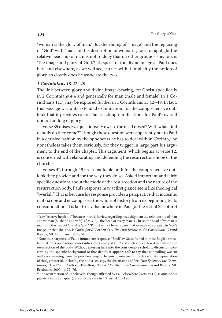"woman is the glory of man." But the eliding of "image" and the replacing of "God" with "man" in this description of woman's glory to highlight the relative headship of man is not to deny that on other grounds she, too, is "the image and glory of God."8 To speak of the divine image as Paul does here and elsewhere, as we will see, carries with it implicitly the notion of glory, so closely does he associate the two.

### **1 Corinthians 15:42–49**

The link between glory and divine image-bearing, for Christ specifically in 2 Corinthians 4:4 and generically for man (male and female) in 1 Corinthians 11:7, may be explored further in 1 Corinthians 15:42–49. In fact, this passage warrants extended examination, for the comprehensive outlook that it provides carries far-reaching ramifications for Paul's overall understanding of glory.

Verse 35 raises two questions: "How are the dead raised? With what kind of body do they come?" Though these question were apparently put to Paul in a derisive fashion by the opponents he has to deal with in Corinth, $^{\circ}$  he nonetheless takes them seriously, for they trigger in large part his argument to the end of the chapter. This argument, which begins at verse 12, is concerned with elaborating and defending the resurrection-hope of the church.10

Verses 42 through 49 are remarkable both for the comprehensive outlook they provide and for the way they do so. Asked important and fairly specific questions about the mode of the resurrection and the nature of the resurrection body, Paul's response may at first glance seem like theological "overkill." That is because his response provides a perspective that is cosmic in its scope and encompasses the whole of history from its beginning to its consummation. It is fair to say that nowhere in Paul (or the rest of Scripture)

<sup>&</sup>lt;sup>8</sup> I say "relative headship" because more is in view regarding headship than the relationship of man and woman (husband and wife); cf. v. 3, "... the head of every man is Christ, the head of woman is man, and the head of Christ is God." "Paul does not hereby deny that woman was created in God's image, or that she, too, is God's glory." Gordon Fee, The First Epistle to the Corinthians (Grand Rapids, MI: Eerdmans, 1987), 516.

<sup>9</sup>Note the sharpness of Paul's immediate response, "Fool!" (v. 36, softened in most English translations). This opposition comes into view already at v. 12 and is clearly centered in denying the resurrection of the body. Without entering here into the considerable scholarly discussion concerning the specific background of that denial, it appears safe to say that controlling was an outlook stemming from the prevalent pagan Hellenistic mindset of the day with its depreciation of things material, including the body; see, e.g., the discussions of Fee, First Epistle to the Corinthians, 715–17 and Anthony Thiselton, *The First Epistle to the Corinthians* (Grand Rapids, MI: Eerdmans, 2000), 1172–76.

 $10$  The resurrection of unbelievers, though affirmed by Paul elsewhere (Acts 24:15), is outside his purview in this chapter (as is also the case in 1 Thess. 4:13-18).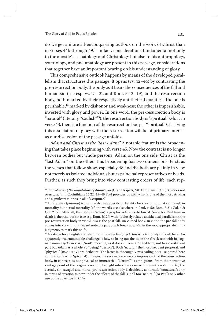do we get a more all-encompassing outlook on the work of Christ than in verses 44b through 49.11 In fact, considerations fundamental not only to the apostle's eschatology and Christology but also to his anthropology, soteriology, and pneumatology are present in this passage, considerations that together have an important bearing on his understanding of glory.

This comprehensive outlook happens by means of the developed parallelism that structures this passage. It opens (vv. 42–44) by contrasting the pre-resurrection body, the body as it bears the consequences of the fall and human sin (see esp. vv. 21–22 and Rom. 5:12–19), and the resurrection body, both marked by their respectively antithetical qualities. The one is perishable,<sup>12</sup> marked by dishonor and weakness; the other is imperishable, invested with glory and power. In one word, the pre-resurrection body is "natural" (literally, "soulish"<sup>13</sup>), the resurrection body is "spiritual." Glory in verse 43, then, is a function of the resurrection body as "spiritual." Clarifying this association of glory with the resurrection will be of primary interest as our discussion of the passage unfolds.

Adam and Christ as the "last Adam." A notable feature is the broadening that takes place beginning with verse 45. Now the contrast is no longer between bodies but whole persons, Adam on the one side, Christ as the "last Adam" on the other. This broadening has two dimensions. First, as the verses that follow show, especially 48 and 49, both are plainly in view not merely as isolated individuals but as principal representatives or heads. Further, as such they bring into view contrasting orders of life; each rep-

<sup>&</sup>lt;sup>11</sup> John Murray (*The Imputation of Adam's Sin* [Grand Rapids, MI: Eerdmans, 1959], 39) does not overstate, "In I Corinthians 15:22, 45–49 Paul provides us with what is one of the most striking and significant rubrics in all of Scripture."

 $12$ <sup>12</sup>This quality (*phthora*) is not merely the capacity or liability for corruption that can result in mortality but actual mortality (cf. the word's use elsewhere in Paul, v. 50; Rom. 8:21; Gal. 6:8; Col. 2:22). After all, this body is "sown," a graphic reference to burial. Since for Paul human death is the result of sin (see esp. Rom. 5:12ff. with its closely related antithetical parallelism), the pre-resurrection body in vv. 42–44a is the post-fall, sin-cursed body. In v. 44b the pre-fall body comes into view. In this regard note the paragraph break at v. 44b in the NIV, appropriate in my judgment, to mark this shift.

 $13A$  satisfactory English translation of the adjective *psychikon* is notoriously difficult here. An apparently insurmountable challenge is how to bring out the tie in the Greek text with its cognate noun psychē in v. 45 ("soul," referring, as it does in Gen. 2:7 cited here, not to a constituent part but Adam as a whole, so "being," "person"). Both "natural," the most frequent proposal, and "physical" (RSV, NRSV) are deficient. The latter is thoroughly misleading because paired here antithetically with "spiritual," it leaves the seriously erroneous impression that the resurrection body, in contrast, is nonphysical or immaterial. "Natural" is ambiguous. From the normative vantage point of the original creation, brought into view as we will presently note in v. 45, the actually sin-ravaged and mortal pre-resurrection body is decidedly abnormal, "unnatural"; only in terms of creation as now under the effects of the fall is it all too "natural" (so Paul's only other use of the adjective in 2:14).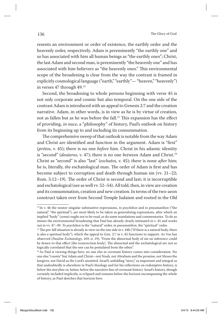resents an environment or order of existence, the earthly order and the heavenly order, respectively. Adam is preeminently "the earthly one" and so has associated with him all human beings as "the earthly ones"; Christ, the last Adam and second man, is preeminently "the heavenly one" and has associated with him believers as "the heavenly ones." This environmental scope of the broadening is clear from the way the contrast is framed in explicitly cosmological language ("earth," "earthly"— "heaven," "heavenly") in verses 47 through 49.14

Second, the broadening to whole persons beginning with verse 45 is not only corporate and cosmic but also temporal. On the one side of the contrast Adam is introduced with an appeal to Genesis 2:7 and the creation narrative. Adam, in other words, is in view as he is by virtue of creation, not as fallen but as he was before the fall.<sup>15</sup> This expansion has the effect of providing, in nuce, a "philosophy" of history, Paul's outlook on history from its beginning up to and including its consummation.

The comprehensive sweep of that outlook is notable from the way Adam and Christ are identified and function in the argument. Adam is "first" (prōtos, v. 45); there is no one before him. Christ in his adamic identity is "second" (deuteros, v. 47); there is no one between Adam and Christ.<sup>16</sup> Christ as "second" is also "last" (eschatos, v. 45); there is none after him; he is, literally, the eschatological man. The order of Adam is first and has become subject to corruption and death through human sin (vv. 21–22; Rom. 5:12–19). The order of Christ is second and last; it is incorruptible and eschatological (see as well vv. 52–54). All told, then, in view are creation and its consummation, creation and new creation. In terms of the two-aeon construct taken over from Second Temple Judaism and rooted in the Old

 $14$  In v. 46 the neuter singular substantive expressions, to psychikon and to pneumatikon ("the natural," "the spiritual"), are most likely to be taken as generalizing expressions, after which an implied "body" (soma) ought not to be read, as do some translations and commentaries. To do so misses the environmental broadening that Paul has already clearly intimated in v. 45 and works out in vv. 47-49. To psychikon is the "natural" order, to pneumatikon, the "spiritual" order.

<sup>&</sup>lt;sup>15</sup> The pre-fall situation is already in view on the one side in v. 44b ("If there is a natural body, there is also a spiritual body"), which the appeal to Gen. 2:7 in v. 45 functions to support. As Vos has observed (Pauline Eschatology, 169, n. 19), "From the abnormal body of sin no inference could be drawn to that effect [the resurrection body]. The abnormal and the eschatological are not so logically correlated that the one can be postulated from the other."

<sup>&</sup>lt;sup>16</sup> As Paul is viewing things here, no one else in covenant history comes into consideration. No one else "counts" but Adam and Christ—not Noah, not Abraham and the promise, not Moses the lawgiver, not David as the Lord's anointed. Israel's unfolding "story," as important and integral as that undoubtedly is elsewhere in Paul's theology and for his reflections on redemptive history, is below the storyline or, better, below the narrative line of covenant history. Israel's history, though certainly included implicitly, is eclipsed and remains below the horizon encompassing the whole of history, as Paul sketches that horizon here.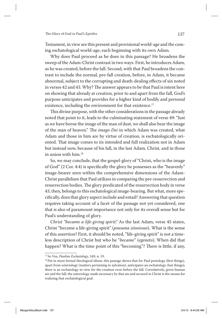### The Glory of God in Paul's Epistles 137

Testament, in view are this present and provisional world-age and the coming eschatological world-age, each beginning with its own Adam.

Why does Paul proceed as he does in this passage? He broadens the sweep of the Adam-Christ contrast in two ways. First, he introduces Adam, as he was created, before the fall. Second, with that Paul broadens the contrast to include the normal, pre-fall creation, before, in Adam, it became abnormal, subject to the corrupting and death-dealing effects of sin noted in verses 42 and 43. Why? The answer appears to be that Paul is intent here on showing that already at creation, prior to and apart from the fall, God's purpose anticipates and provides for a higher kind of bodily and personal existence, including the environment for that existence.<sup>17</sup>

This divine purpose, with the other considerations in the passage already noted that point to it, leads to the culminating statement of verse 49: "Just as we have borne the image of the man of dust, we shall also bear the image of the man of heaven." The *imago Dei* in which Adam was created, what Adam and those in him are by virtue of creation, is eschatologically oriented. That image comes to its intended and full realization not in Adam but instead now, because of his fall, in the last Adam, Christ, and in those in union with him.18

So, we may conclude, that the gospel-glory of "Christ, who is the image of God" (2 Cor. 4:4) is specifically the glory he possesses as the "heavenly" image-bearer seen within the comprehensive dimensions of the Adam-Christ parallelism that Paul utilizes in comparing the pre-resurrection and resurrection bodies. The glory predicated of the resurrection body in verse 43, then, belongs to this eschatological image-bearing. But what, more specifically, does that glory aspect include and entail? Answering that question requires taking account of a facet of the passage not yet considered, one that is also of paramount importance not only for its overall sense but for Paul's understanding of glory.

Christ "became a life-giving spirit." As the last Adam, verse 45 states, Christ "became a life-giving spirit" (pneuma zōooioun). What is the sense of this assertion? First, it should be noted, "life-giving spirit" is not a timeless description of Christ but who he "became" (egeneto). When did that happen? What is the time point of this "becoming"? There is little, if any,

<sup>&</sup>lt;sup>17</sup> So Vos, Pauline Eschatology, 169, n. 19.

<sup>&</sup>lt;sup>18</sup> Put in more formal theological idiom, this passage shows that for Paul protology (first things), apart from soteriology (matters pertaining to salvation), anticipates an eschatology (last things); there is an eschatology in view for the creation even before the fall. Correlatively, given human sin and the fall, the soteriology made necessary by that sin and secured in Christ is the means for realizing that eschatological goal.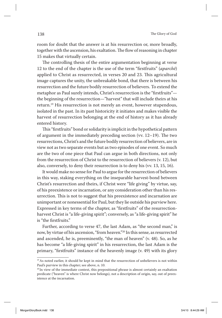room for doubt that the answer is at his resurrection or, more broadly, together with the ascension, his exaltation. The flow of reasoning in chapter 15 makes that virtually certain.

The controlling thesis of the entire argumentation beginning at verse 12 to the end of the chapter is the use of the term "firstfruits" (aparchē) applied to Christ as resurrected, in verses 20 and 23. This agricultural image captures the unity, the unbreakable bond, that there is between his resurrection and the future bodily resurrection of believers. To extend the metaphor as Paul surely intends, Christ's resurrection is the "firstfruits" the beginning of the resurrection—"harvest" that will include theirs at his return.<sup>19</sup> His resurrection is not merely an event, however stupendous, isolated in the past. In its past historicity it initiates and makes visible the harvest of resurrection belonging at the end of history as it has already entered history.

This "firstfruits" bond or solidarity is implicit in the hypothetical pattern of argument in the immediately preceding section (vv.  $12-19$ ). The two resurrections, Christ's and the future bodily resurrection of believers, are in view not as two separate events but as two episodes of one event. So much are the two of one piece that Paul can argue in both directions, not only from the resurrection of Christ to the resurrection of believers (v. 12), but also, conversely, to deny their resurrection is to deny his (vv. 13, 15, 16).

It would make no sense for Paul to argue for the resurrection of believers in this way, staking everything on the inseparable harvest-bond between Christ's resurrection and theirs, if Christ were "life giving" by virtue, say, of his preexistence or incarnation, or any consideration other than his resurrection. This is not to suggest that his preexistence and incarnation are unimportant or nonessential for Paul, but they lie outside his purview here. Expressed in key terms of the chapter, as "firstfruits" of the resurrectionharvest Christ is "a life-giving spirit"; conversely, as "a life-giving spirit" he is "the firstfruits."

Further, according to verse 47, the last Adam, as "the second man," is now, by virtue of his ascension, "from heaven."20 In this sense, as resurrected and ascended, he is, preeminently, "the man of heaven" (v. 48). So, as he has become "a life-giving spirit" in his resurrection, the last Adam is the primary, "firstfruits" instance of the heavenly image (v. 49) with its glory

<sup>&</sup>lt;sup>19</sup>As noted earlier, it should be kept in mind that the resurrection of unbelievers is not within Paul's purview in this chapter; see above, n. 10.

<sup>&</sup>lt;sup>20</sup> In view of the immediate context, this prepositional phrase is almost certainly an exaltation predicate ("heaven" is where Christ now belongs), not a description of origin, say, out of preexistence at the incarnation.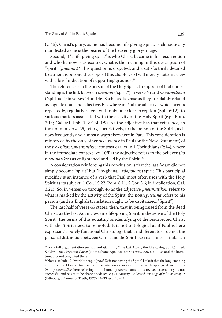(v. 43). Christ's glory, as he has become life-giving Spirit, is climactically manifested as he is the bearer of the heavenly glory-image.

Second, if "a life-giving spirit" is who Christ became in his resurrection and who he now is as exalted, what is the meaning in this description of "spirit" (pneuma)? This question is disputed, and a satisfactorily detailed treatment is beyond the scope of this chapter, so I will merely state my view with a brief indication of supporting grounds. $^{21}$ 

The reference is to the person of the Holy Spirit. In support of that understanding is the link between *pneuma* ("spirit") in verse 45 and *pneumatikon* ("spiritual") in verses 44 and 46. Each has its sense as they are plainly related as cognate noun and adjective. Elsewhere in Paul the adjective, which occurs repeatedly, regularly refers, with only one clear exception (Eph. 6:12), to various matters associated with the activity of the Holy Spirit (e.g., Rom. 7:14; Gal. 6:1; Eph. 1:3; Col. 1:9). As the adjective has that reference, so the noun in verse 45, refers, correlatively, to the person of the Spirit, as it does frequently and almost always elsewhere in Paul. This consideration is reinforced by the only other occurrence in Paul (or the New Testament) of the *psychikon/pneumatikon* contrast earlier in 1 Corinthians (2:14), where in the immediate context (vv. 10ff.) the adjective refers to the believer (ho pneumatikos) as enlightened and led by the Spirit.<sup>22</sup>

A consideration reinforcing this conclusion is that the last Adam did not simply become "spirit" but "life-giving" (zōopoioun) spirit. This participial modifier is an instance of a verb that Paul most often uses with the Holy Spirit as its subject (1 Cor. 15:22; Rom. 8:11; 2 Cor. 3:6; by implication, Gal. 3:21). So, in verses 44 through 46 as the adjective pneumatikon refers to what is marked by the activity of the Spirit, the noun *pneuma* refers to his person (and its English translation ought to be capitalized, "Spirit").

The last half of verse 45 states, then, that in being raised from the dead Christ, as the last Adam, became life-giving Spirit in the sense of the Holy Spirit. The terms of this equating or identifying of the resurrected Christ with the Spirit need to be noted. It is not ontological as if Paul is here expressing a purely functional Christology that is indifferent to or denies the personal distinction between Christ and the Spirit. Eternal, inner-Trinitarian

 $21$  For a full argumentation see Richard Gaffin Jr., "The last Adam, the Life-giving Spirit," in ed. S. Clark, The Forgotten Christ (Nottingham: Apollos; Inter-Varsity, 2007), 211-25 and the literature, pro and con, cited there.

<sup>&</sup>lt;sup>22</sup> Note also Jude 19, "worldly people (psychikoi), not having the Spirit." I take it that the long-standing effort to enlist 1 Cor. 2:14–15 in its immediate context in support of an anthropological trichotomy (with pneumatikos here referring to the human pneuma come to its revived ascendancy) is not successful and ought to be abandoned; see, e.g., J. Murray, Collected Writings of John Murray, 2 (Edinburgh: Banner of Truth, 1977) 23–33, esp. 23–29.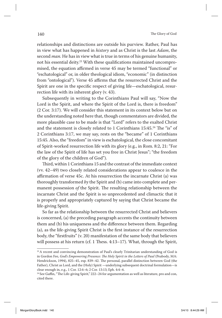relationships and distinctions are outside his purview. Rather, Paul has in view what has happened in *history* and as Christ is the last *Adam*, the second *man*. He has in view what is true in terms of his genuine humanity, not his essential deity.<sup>23</sup> With these qualifications maintained uncompromised, the equation affirmed in verse 45 may be termed "functional" or "eschatological" or, in older theological idiom, "economic" (in distinction from "ontological"). Verse 45 affirms that the resurrected Christ and the Spirit are one in the specific respect of giving life—eschatological, resurrection life with its inherent glory (v. 43).

Subsequently in writing to the Corinthians Paul will say, "Now the Lord is the Spirit, and where the Spirit of the Lord is, there is freedom" (2 Cor. 3:17). We will consider this statement in its context below but on the understanding noted here that, though commentators are divided, the more plausible case to be made is that "Lord" refers to the exalted Christ and the statement is closely related to 1 Corinthians  $15:45.^{24}$  The "is" of 2 Corinthians 3:17, we may say, rests on the "became" of 1 Corinthians 15:45. Also, the "freedom" in view is eschatological, the close concomitant of Spirit-worked resurrection life with its glory (e.g., in Rom. 8:2, 21: "For the law of the Spirit of life has set you free in Christ Jesus"; "the freedom of the glory of the children of God").

Third, within 1 Corinthians 15 and the contrast of the immediate context (vv. 42–49) two closely related considerations appear to coalesce in the affirmation of verse 45c. At his resurrection the incarnate Christ (a) was thoroughly transformed by the Spirit and  $(b)$  came into complete and permanent possession  $of$  the Spirit. The resulting relationship between the incarnate Christ and the Spirit is so unprecedented and climactic that it is properly and appropriately captured by saying that Christ became the life-giving Spirit.

So far as the relationship between the resurrected Christ and believers is concerned, (a) the preceding paragraph accents the continuity between them and (b) his uniqueness and the difference between them. Regarding (a), as the life-giving Spirit Christ is the first instance of the resurrection body, the "firstfruits" (v. 20) manifestation of the same body that believers will possess at his return (cf. 1 Thess. 4:13–17). What, through the Spirit,

<sup>&</sup>lt;sup>23</sup> A recent and convincing demonstration of Paul's clearly Trinitarian understanding of God is in Gordon Fee, God's Empowering Presence: The Holy Spirit in the Letters of Paul (Peabody, MA: Hendrickson, 1994), 825–45, esp. 839–42. The personal, parallel distinction between God (the Father), Christ as Lord, and the (Holy) Spirit —underlying subsequent doctrinal formulation—is clear enough in, e.g., 1 Cor. 12:4–6; 2 Cor. 13:13; Eph. 4:4–6.

 $24$  See Gaffin, "The Life-giving Spirit," 222–24 for argumentation as well as literature, pro and con, cited there.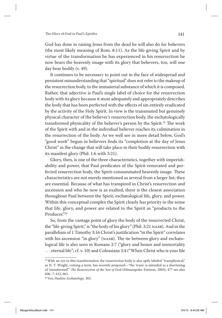God has done in raising Jesus from the dead he will also do for believers (the most likely meaning of Rom. 8:11). As the life-giving Spirit and by virtue of the transformation he has experienced in his resurrection he now bears the heavenly image with its glory that believers, too, will one day bear bodily (v. 49).

It continues to be necessary to point out in the face of widespread and persistent misunderstanding that "spiritual" does not refer to the makeup of the resurrection body, to the immaterial substance of which it is composed. Rather, that adjective is Paul's single label of choice for the resurrection body with its glory because it most adequately and appropriately describes the body that has been perfected with the effects of sin entirely eradicated by the activity of the Holy Spirit. In view is the transmuted but genuinely physical character of the believer's resurrection body, the eschatologically transformed physicality of the believer's person by the Spirit.<sup>25</sup> The work of the Spirit with and in the individual believer reaches its culmination in the resurrection of the body. As we well see in more detail below, God's "good work" begun in believers finds its "completion at the day of Jesus Christ" in the change that will take place in their bodily resurrection with its manifest glory (Phil. 1:6 with 3:21).

Glory, then, is one of the three characteristics, together with imperishability and power, that Paul predicates of the Spirit-renovated and perfected resurrection body, the Spirit-consummated heavenly image. These characteristics are not merely mentioned as several from a larger list; they are essential. Because of what has transpired in Christ's resurrection and ascension and who he now is as exalted, there is the closest association throughout Paul between the Spirit, eschatological life, glory, and power. Within this conceptual complex the Spirit clearly has priority in the sense that life, glory, and power are related to the Spirit as "products to the Producer."26

So, from the vantage point of glory the body of the resurrected Christ, the "life-giving Spirit," is "the body of his glory" (Phil. 3:21 NASB). And in the parallelism of 1 Timothy 3:16 Christ's justification "in the Spirit" correlates with his ascension "in glory" (NASB). The tie between glory and eschatological life is also seen in Romans 2:7 ("glory and honor and immortality . . . eternal life"; cf. v. 10) and Colossians 3:4 ("When Christ who is your life

 $25$  With an eye to this transformation the resurrection body is also aptly labeled "transphysical," as N. T. Wright, coining a term, has recently proposed—"the 'trans' is intended as a shortening of 'transformed." The Resurrection of the Son of God (Minneapolis: Fortress, 2003), 477 see also 606–7, 612, 661.

<sup>&</sup>lt;sup>26</sup> Vos, Pauline Eschatology, 302.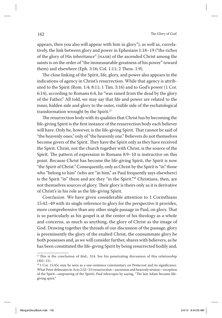appears, then you also will appear with him in glory"), as well as, correlatively, the link between glory and power in Ephesians 1:18–19 ("the riches of the glory of His inheritance" (NASB) of the ascended Christ among the saints is on the order of "the immeasurable greatness of his power" toward them) and elsewhere (Eph. 3:16; Col. 1:11; 2 Thess. 1:9).

The close linking of the Spirit, life, glory, and power also appears in the indications of agency in Christ's resurrection. While that agency is attributed to the Spirit (Rom. 1:4; 8:11; 1 Tim. 3:16) and to God's power (1 Cor. 6:14), according to Romans 6:4, he "was raised from the dead by the glory of the Father." All told, we may say that life and power are related to the inner, hidden side and glory to the outer, visible side of the eschatological transformation wrought by the Spirit.<sup>27</sup>

The resurrection body with its qualities that Christ has by becoming the life-giving Spirit is the first instance of the resurrection body each believer will have. Only he, however, is the life-giving Spirit. That cannot be said of "the heavenly ones," only of "the heavenly one." Believers do not themselves become givers of the Spirit. They have the Spirit only as they have received the Spirit. Christ, not the church together with Christ, is the source of the Spirit. The pattern of expression in Romans  $8:9-10$  is instructive on this point. Because Christ has become the life-giving Spirit, the Spirit is now "the Spirit of Christ." Consequently, only as Christ by the Spirit is "in" those who "belong to him" (who are "in him," as Paul frequently says elsewhere) is the Spirit "in" them and are they "in the Spirit."<sup>28</sup> Christians, then, are not themselves sources of glory. Their glory is theirs only as it is derivative of Christ's in his role as the life-giving Spirit.

Conclusion. We have given considerable attention to 1 Corinthians 15:42–49 with its single reference to glory for the perspective it provides, more comprehensive than any other single passage in Paul, on glory. That is so particularly as his gospel is at the center of his theology as a whole and concerns, as much as anything, the glory of Christ as the image of God. Drawing together the threads of our discussion of the passage, glory is preeminently the glory of the exalted Christ, the consummate glory he both possesses and, as we will consider further, shares with believers, as he has been constituted the life-giving Spirit by being resurrected bodily and,

 $27$ This is the conclusion of ibid., 314. See his penetrating discussion of this relationship  $(302-15).$ 

 $281$  Cor. 15:45c may be seen as a one-sentence commentary on Pentecost and its significance. What Peter delineates in Acts 2:32–33 (resurrection—ascension and heavenly session—reception of the Spirit—outpouring of the Spirit), Paul telescopes by saying, "The last Adam became lifegiving spirit."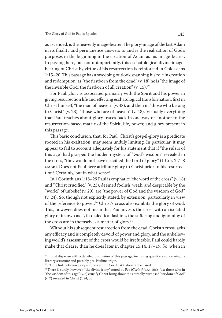as ascended, is the heavenly image-bearer. The glory-image of the last Adam in its finality and permanence answers to and is the realization of God's purposes in the beginning in the creation of Adam as his image-bearer. In passing here, but not unimportantly, this eschatological divine imagebearing of Christ by virtue of his resurrection is reinforced in Colossians  $1:15-20$ . This passage has a sweeping outlook spanning his role in creation and redemption: as "the firstborn from the dead" (v. 18) he is "the image of the invisible God, the firstborn of all creation" (v. 15).29

For Paul, glory is associated primarily with the Spirit and his power in giving resurrection life and effecting eschatological transformation, first in Christ himself, "the man of heaven" (v. 48), and then in "those who belong to Christ" (v. 23), "those who are of heaven" (v. 48). Virtually everything that Paul teaches about glory traces back in one way or another to the resurrection-based matrix of the Spirit, life, power, and glory present in this passage.

This basic conclusion, that, for Paul, Christ's gospel-glory is a predicate rooted in his exaltation, may seem unduly limiting. In particular, it may appear to fail to account adequately for his statement that if "the rulers of this age" had grasped the hidden mystery of "God's wisdom" revealed in the cross, "they would not have crucified the Lord of glory" (1 Cor. 2:7–8 ). Does not Paul here attribute glory to Christ prior to his resurrection? Certainly, but in what sense?

In 1 Corinthians 1:18–29 Paul is emphatic: "the word of the cross" (v. 18) and "Christ crucified" (v. 23), deemed foolish, weak, and despicable by the "world" of unbelief (v. 20), are "the power of God and the wisdom of God" (v. 24). So, though not explicitly stated, by extension, particularly in view of the reference to power,<sup>30</sup> Christ's cross also exhibits the glory of God. This, however, does not mean that Paul invests the cross with an isolated glory of its own as if, in dialectical fashion, the suffering and ignominy of the cross are in themselves a matter of glory.<sup>31</sup>

Without his subsequent resurrection from the dead, Christ's cross lacks any efficacy and is completely devoid of power and glory, and the unbelieving world's assessment of the cross would be irrefutable. Paul could hardly make that clearer than he does later in chapter 15:14, 17–19. So, when in

<sup>&</sup>lt;sup>29</sup>I must dispense with a detailed discussion of this passage, including questions concerning its literary structure and possibly pre-Pauline origin.

<sup>30</sup>Cf. the link between glory and power in 1 Cor. 15:43, already discussed.

<sup>&</sup>lt;sup>31</sup> There is surely, however, "the divine irony" noted by Fee (Corinthians, 106). Just those who in "the wisdom of this age" (v. 6) crucify Christ bring about the eternally purposed "wisdom of God" (v. 7) revealed in Christ (1:24, 30).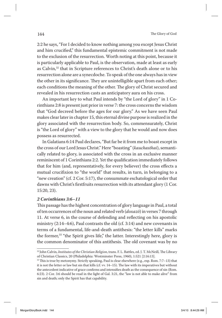2:2 he says, "For I decided to know nothing among you except Jesus Christ and him crucified," this fundamental epistemic commitment is not made to the exclusion of the resurrection. Worth noting at this point, because it is particularly applicable to Paul, is the observation, made at least as early as Calvin,<sup>32</sup> that in Scripture references to Christ's death alone or to his resurrection alone are a synecdoche. To speak of the one always has in view the other in its significance. They are unintelligible apart from each other; each conditions the meaning of the other. The glory of Christ secured and revealed in his resurrection casts an anticipatory aura on his cross.

An important key to what Paul intends by "the Lord of glory" in 1 Corinthians 2:8 is present just prior in verse 7: the cross concerns the wisdom that "God decreed before the ages for our glory." As we have seen Paul makes clear later in chapter 15, this eternal divine purpose is realized in the glory associated with the resurrection body. So, commensurately, Christ is "the Lord of glory" with a view to the glory that he would and now does possess as resurrected.

In Galatians 6:14 Paul declares, "But far be it from me to boast except in the cross of our Lord Jesus Christ." Here "boasting" (kauchasthai), semantically related to glory, is associated with the cross in an exclusive manner reminiscent of 1 Corinthians 2:2. Yet the qualification immediately follows that for him (and, representatively, for every believer) the cross effects a mutual crucifixion to "the world" that results, in turn, in belonging to a "new creation" (cf. 2 Cor. 5:17), the consummate eschatological order that dawns with Christ's firstfruits resurrection with its attendant glory (1 Cor. 15:20, 23).

### **2 Corinthians 3:6–11**

This passage has the highest concentration of glory language in Paul, a total of ten occurrences of the noun and related verb (doxazō) in verses 7 through 11. At verse 6, in the course of defending and reflecting on his apostolic ministry (2:14–4:6), Paul contrasts the old (cf. 3:14) and new covenants in terms of a fundamental, life-and-death antithesis: "the letter kills" marks the former,<sup>33</sup> "the Spirit gives life," the latter. Interestingly here, glory is the common denominator of this antithesis. The old covenant was by no

<sup>32</sup> John Calvin, Institutes of the Christian Religion, trans. F. L. Battles, ed. J. T. McNeill, The Library of Christian Classics, 20 (Philadelphia: Westminster Press, 1960), 1:521 [2:16:13].

<sup>&</sup>lt;sup>33</sup> This is true by metonymy. Strictly speaking, Paul is clear elsewhere (e.g., esp. Rom. 7:7-13) that it is not the letter or law but sin that kills (cf. vv. 14–15). The law with its imperatives but without the antecedent indicative of grace confirms and intensifies death as the consequence of sin (Rom. 6:23). 2 Cor. 3:6 should be read in the light of Gal. 3:21, the "law is not able to make alive" from sin and death; only the Spirit has that capability.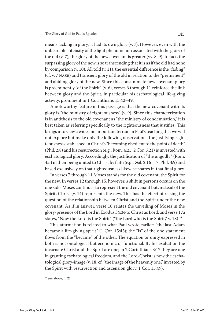means lacking in glory; it had its own glory (v. 7). However, even with the unbearable intensity of the light phenomenon associated with the glory of the old (v. 7), the glory of the new covenant is greater (vv. 8, 9). In fact, the surpassing glory of the new is so transcending that it is as if the old had none by comparison (v. 10). All told (v. 11), the essential difference is the "fading" (cf. v. 7 NASB) and transient glory of the old in relation to the "permanent" and abiding glory of the new. Since this consummate new covenant glory is preeminently "of the Spirit" (v. 6), verses 6 through 11 reinforce the link between glory and the Spirit, in particular his eschatological life-giving activity, prominent in 1 Corinthians 15:42–49.

A noteworthy feature in this passage is that the new covenant with its glory is "the ministry of righteousness" (v. 9). Since this characterization is in antithesis to the old covenant as "the ministry of condemnation," it is best taken as referring specifically to the righteousness that justifies. This brings into view a wide and important terrain in Paul's teaching that we will not explore but make only the following observation. The justifying righteousness established in Christ's "becoming obedient to the point of death" (Phil. 2:8) and his resurrection (e.g., Rom. 4:25; 2 Cor. 5:21) is invested with eschatological glory. Accordingly, the justification of "the ungodly" (Rom. 4:5) in their being united to Christ by faith (e.g., Gal. 2:16–17; Phil. 3:9) and based exclusively on that righteousness likewise shares in that final glory.

In verses 7 through 11 Moses stands for the old covenant, the Spirit for the new. In verses 12 through 15, however, a shift in persons occurs on the one side. Moses continues to represent the old covenant but, instead of the Spirit, Christ  $(v. 14)$  represents the new. This has the effect of raising the question of the relationship between Christ and the Spirit under the new covenant. As if in answer, verse 16 relates the unveiling of Moses in the glory-presence of the Lord in Exodus 34:34 to Christ as Lord, and verse 17a states, "Now the Lord is the Spirit" ("the Lord who is the Spirit," v. 18).<sup>34</sup>

This affirmation is related to what Paul wrote earlier: "the last Adam became a life-giving spirit" (1 Cor. 15:45); the "is" of the one statement flows from the "became" of the other. The equation or unity expressed in both is not ontological but economic or functional. By his exaltation the incarnate Christ and the Spirit are one; in 2 Corinthians 3:17 they are one in granting eschatological freedom, and the Lord-Christ is now the eschatological glory-image (v. 18, cf. "the image of the heavenly one," invested by the Spirit with resurrection and ascension glory, 1 Cor. 15:49).

<sup>&</sup>lt;sup>34</sup> See above, n. 21.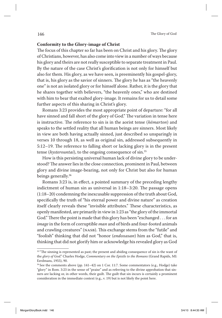### **Conformity to the Glory-image of Christ**

The focus of this chapter so far has been on Christ and his glory. The glory of Christians, however, has also come into view in a number of ways because his glory and theirs are not really susceptible to separate treatment in Paul. By the nature of the case Christ's glorification is not only for himself but also for them. His glory, as we have seen, is preeminently his gospel-glory, that is, his glory as the savior of sinners. The glory he has as "the heavenly one" is not an isolated glory or for himself alone. Rather, it is the glory that he shares together with believers, "the heavenly ones," who are destined with him to bear that exalted glory-image. It remains for us to detail some further aspects of this sharing in Christ's glory.

Romans 3:23 provides the most appropriate point of departure: "for all have sinned and fall short of the glory of God." The variation in tense here is instructive. The reference to sin is in the aorist tense (hemarton) and speaks to the settled reality that all human beings are sinners. Most likely in view are both having actually sinned, just described so unsparingly in verses 10 through 18, as well as original sin, addressed subsequently in  $5:12-19$ . The reference to falling short or lacking glory is in the present tense (*hysterountai*), to the ongoing consequence of sin.<sup>35</sup>

How is this persisting universal human lack of divine glory to be understood? The answer lies in the close connection, prominent in Paul, between glory and divine image-bearing, not only for Christ but also for human beings generally.<sup>36</sup>

Romans 3:23 is, in effect, a pointed summary of the preceding lengthy indictment of human sin as universal in  $1:18-3:20$ . The passage opens (1:18–20) condemning the inexcusable suppression of the truth about God, specifically the truth of "his eternal power and divine nature" as creation itself clearly reveals these "invisible attributes." These characteristics, as openly manifested, are primarily in view in 1:23 as "the glory of the immortal God." There the point is made that this glory has been "exchanged  $\ldots$  for an image in the form of corruptible man and of birds and four-footed animals and crawling creatures" (NASB). This exchange stems from the "futile" and "foolish" thinking that did not "honor (endoxasan) him as God," that is, thinking that did not glorify him or acknowledge his revealed glory as God

<sup>&</sup>lt;sup>35 "</sup>The sinning is represented as past; the present and abiding consequence of sin is the want of the glory of God." Charles Hodge, Commentary on the Epistle to the Romans (Grand Rapids, MI: Eerdmans, 1955), 90.

<sup>36</sup> See the comments above (pp. 141–42) on 1 Cor. 11:7. Some commentators (e.g., Hodge) take "glory" in Rom. 3:23 in the sense of "praise" and as referring to the divine approbation that sinners are lacking or, in other words, their guilt. The guilt that sin incurs is certainly a prominent consideration in the immediate context (e.g., v. 19) but is not likely the point here.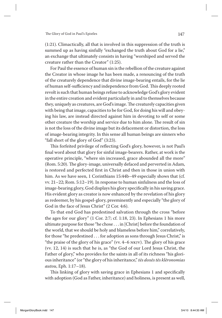(1:21). Climactically, all that is involved in this suppression of the truth is summed up as having sinfully "exchanged the truth about God for a lie," an exchange that ultimately consists in having "worshiped and served the creature rather than the Creator" (1:25).

For Paul the essence of human sin is the rebellion of the creature against the Creator in whose image he has been made, a renouncing of the truth of the creaturely dependence that divine image-bearing entails, for the lie of human self-sufficiency and independence from God. This deeply rooted revolt is such that human beings refuse to acknowledge God's glory evident in the entire creation and evident particularly in and to themselves because they, uniquely as creatures, are God's image. The creaturely capacities given with being that image, capacities to be for God, for doing his will and obeying his law, are instead directed against him in devoting to self or some other creature the worship and service due to him alone. The result of sin is not the loss of the divine image but its defacement or distortion, the loss of image-bearing integrity. In this sense all human beings are sinners who "fall short of the glory of God" (3:23).

This forfeited privilege of reflecting God's glory, however, is not Paul's final word about that glory for sinful image-bearers. Rather, at work is the operative principle, "where sin increased, grace abounded all the more" (Rom. 5:20). The glory-image, universally defaced and perverted in Adam, is restored and perfected first in Christ and then in those in union with him. As we have seen, 1 Corinthians 15:44b–49 especially shows that (cf. vv. 21–22; Rom. 5:12–19). In response to human sinfulness and the loss of image-bearing glory, God displays his glory specifically in his saving grace. His evident glory as creator is now enhanced by the revelation of his glory as redeemer, by his gospel-glory, preeminently and especially "the glory of God in the face of Jesus Christ" (2 Cor. 4:6).

To that end God has predestined salvation through the cross "before the ages for our glory" (1 Cor. 2:7; cf. 1:18, 23). In Ephesians 1 his more ultimate purpose for those "he chose . . . in [Christ] before the foundation of the world, that we should be holy and blameless before him," correlatively, for those "he predestined . . . for adoption as sons through Jesus Christ," is "the praise of the glory of his grace" (vv.  $4-6$   $N$ KJV). The glory of his grace (vv. 12, 14) is such that he is, as "the God of our Lord Jesus Christ, the Father of glory," who provides for the saints in all of its richness "his glorious inheritance" (or "the glory of his inheritance," tēs doxēs tēs klēronomias autou, Eph. 1:17–18).

This linking of glory with saving grace in Ephesians 1 and specifically with adoption (God as Father, inheritance) and holiness, is present as well,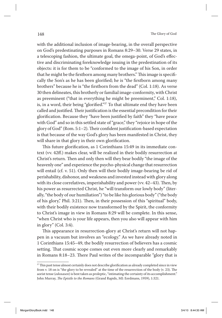with the additional inclusion of image-bearing, in the overall perspective on God's predestinating purposes in Romans 8:29–30. Verse 29 states, in a telescoping fashion, the ultimate goal, the omega-point, of God's effective and discriminating foreknowledge issuing in the predestination of its objects: it is for them to be "conformed to the image of his Son, in order that he might be the firstborn among many brothers." This image is specifically the Son's as he has been glorified; he is "the firstborn among many brothers" because he is "the firstborn from the dead" (Col. 1:18). As verse 30 then delineates, this brotherly or familial image-conformity, with Christ as preeminent ("that in everything he might be preeminent," Col. 1:18), is, in a word, their being "glorified."<sup>37</sup> To that ultimate end they have been called and justified. Their justification is the essential precondition for their glorification. Because they "have been justified by faith" they "have peace with God" and so in this settled state of "grace," they "rejoice in hope of the glory of God" (Rom. 5:1-2). Their confident justification-based expectation is that because of the way God's glory has been manifested in Christ, they will share in that glory in their own glorification.

This future glorification, as 1 Corinthians 15:49 in its immediate context (vv. 42ff.) makes clear, will be realized in their bodily resurrection at Christ's return. Then and only then will they bear bodily "the image of the heavenly one" and experience the psycho-physical change that resurrection will entail (cf. v. 51). Only then will their bodily image-bearing be rid of perishability, dishonor, and weakness and invested instead with glory along with its close correlatives, imperishability and power (vv.  $42-43$ ). Then, by his power as resurrected Christ, he "will transform our lowly body" (literally, "the body of our humiliation") "to be like his glorious body" ("the body of his glory," Phil. 3:21). Then, in their possession of this "spiritual" body, with their bodily existence now transformed by the Spirit, the conformity to Christ's image in view in Romans 8:29 will be complete. In this sense, "when Christ who is your life appears, then you also will appear with him in glory" (Col. 3:4).

This appearance in resurrection-glory at Christ's return will not happen in a vacuum but involves an "ecology." As we have already noted in 1 Corinthians 15:45–49, the bodily resurrection of believers has a cosmic setting. That cosmic scope comes out even more clearly and remarkably in Romans 8:18–23. There Paul writes of the incomparable "glory that is

<sup>&</sup>lt;sup>37</sup>This past tense almost certainly does not describe glorification as already completed since in view from v. 18 on is "the glory to be revealed" at the time of the resurrection of the body (v. 23). The aorist tense (edoxasen) is best taken as proleptic, "intimating the certainty of its accomplishment." John Murray, The Epistle to the Romans (Grand Rapids, MI: Eerdmans, 1959), 1:321.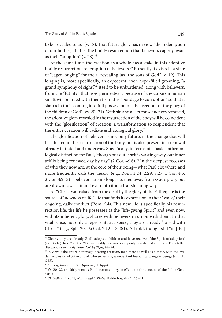to be revealed to us"  $(v. 18)$ . That future glory has in view "the redemption of our bodies," that is, the bodily resurrection that believers eagerly await as their "adoption" (v. 23).38

At the same time, the creation as a whole has a stake in this adoptive bodily resurrection-redemption of believers.<sup>39</sup> Presently it exists in a state of "eager longing" for their "revealing [as] the sons of God" (v. 19). This longing is, more specifically, an expectant, even hope-filled groaning, "a grand symphony of sighs,"40 itself to be unburdened, along with believers, from the "futility" that now permeates it because of the curse on human sin. It will be freed with them from this "bondage to corruption" so that it shares in their coming into full possession of "the freedom of the glory of the children of God" (vv. 20–21). With sin and all its consequences removed, the adoptive glory revealed in the resurrection of the body will be coincident with the "glorification" of creation, a transformation so resplendent that the entire creation will radiate eschatological glory.<sup>41</sup>

The glorification of believers is not only future, in the change that will be effected in the resurrection of the body, but is also present in a renewal already initiated and underway. Specifically, in terms of a basic anthropological distinction for Paul, "though our outer self is wasting away, our inner self is being renewed day by day"  $(2 \text{ Cor. } 4:16).42$  In the deepest recesses of who they now are, at the core of their being—what Paul elsewhere and more frequently calls the "heart" (e.g., Rom. 1:24; 2:29; 8:27; 1 Cor. 4:5; 2 Cor. 3:2–3)—believers are no longer turned away from God's glory but are drawn toward it and even into it in a transforming way.

As "Christ was raised from the dead by the glory of the Father," he is the source of "newness of life," life that finds its expression in their "walk," their ongoing, daily conduct (Rom. 6:4). This new life is specifically his resurrection life, the life he possesses as the "life-giving Spirit" and even now, with its inherent glory, shares with believers in union with them. In that vital sense, not only a representative sense, they are already "raised with Christ" (e.g., Eph. 2:5–6; Col. 2:12–13; 3:1). All told, though still "in [the]

<sup>38</sup>Clearly they are already God's adopted children and have received "the Spirit of adoption" (vv. 14–16). In v. 23 (cf. v. 21) their bodily resurrection openly reveals that adoption. For a fuller discussion see my By Faith, Not by Sight, 92–94.

<sup>&</sup>lt;sup>39</sup> In view is the entire nonimage-bearing creation, inanimate as well as animate, with the evident exclusion of Satan and all who serve him, unrepentant human, and angelic beings (cf. Eph. 6:12).

<sup>40</sup>Murray, Romans, 1:305 (quoting Philippi).

<sup>41</sup>Vv. 20–22 are fairly seen as Paul's commentary, in effect, on the account of the fall in Genesis 3.

<sup>&</sup>lt;sup>42</sup> Cf. Gaffin, By Faith, Not by Sight, 53-58; Ridderbos, Paul, 115-21.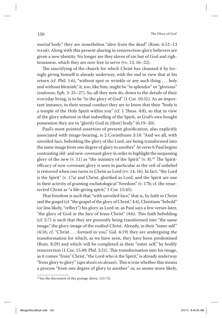mortal body" they are nonetheless "alive from the dead" (Rom. 6:12–13 ). Along with this present sharing in resurrection-glory believers are given a new identity. No longer are they slaves of sin but of God and righteousness, which they are now free to serve (vv. 13, 16–22).

The sanctifying of the church for which Christ has cleansed it by lovingly giving himself is already underway, with the end in view that at his return (cf. Phil. 1:6), "without spot or wrinkle or any such thing . . . holy and without blemish," it, too, like him, might be "in splendor" or "glorious" (endoxon, Eph. 5: 25–27). So, all they now do, down to the details of their everyday living, is to be "to the glory of God" (1 Cor. 10:31). As an important instance, in their sexual conduct they are to know that their "body is a temple of the Holy Spirit within you" (cf. 1 Thess. 4:8), so that in view of the glory inherent in that indwelling of the Spirit, as God's own bought possession they are to "glorify God in [their] body" (6:19–20).

Paul's most pointed assertion of present glorification, also explicitly associated with image-bearing, is 2 Corinthians 3:18: "And we all, with unveiled face, beholding the glory of the Lord, are being transformed into the same image from one degree of glory to another." At verse 6 Paul begins contrasting old- and new-covenant glory in order to highlight the surpassing glory of the new  $(v. 11)$  as "the ministry of the Spirit"  $(v. 8)$ .<sup>43</sup> The Spiritefficacy of new-covenant glory is seen in particular as the veil of unbelief is removed when one turns to Christ as Lord (vv. 14, 16). In fact, "the Lord is the Spirit" (v. 17a) and Christ, glorified as Lord, and the Spirit are one in their activity of granting eschatological "freedom" (v. 17b; cf. the resurrected Christ as "a life-giving spirit," 1 Cor. 15:45).

That freedom is such that "with unveiled face," that is, by faith in Christ and the gospel (cf. "the gospel of the glory of Christ," 4:4), Christians "behold" (or less likely, "reflect") his glory as Lord or, as Paul says a few verses later, "the glory of God in the face of Jesus Christ"  $(4:6)$ . This faith beholding (cf. 5:7) is such that they are presently being transformed into "the same image," the glory-image of the exalted Christ. Already, in their "inner self" (4:16; cf. "Christ . . . formed in you," Gal. 4:19) they are undergoing the transformation for which, as we have seen, they have been predestined (Rom. 8:29) and which will be completed in their "outer self," by bodily resurrection (1 Cor. 15:49; Phil. 3:21). This transformation into his image, as it comes "from" Christ, "the Lord who is the Spirit," is already underway "from glory to glory" (apo doxes eis doxan). This is true whether this means a process "from one degree of glory to another" or, as seems more likely,

<sup>43</sup> See the discussion of this passage above, 153–55.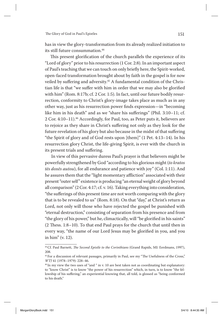has in view the glory-transformation from its already realized initiation to its still future consummation.<sup>44</sup>

This present glorification of the church parallels the experience of its "Lord of glory" prior to his resurrection (1 Cor. 2:8). In an important aspect of Paul's teaching that we can touch on only briefly here, the Spirit-worked, open-faced transformation brought about by faith in the gospel is for now veiled by suffering and adversity.<sup>45</sup> A fundamental condition of the Christian life is that "we suffer with him in order that we may also be glorified with him" (Rom. 8:17b; cf. 2 Cor. 1:5). In fact, until our future bodily resurrection, conformity to Christ's glory-image takes place as much as in any other way, just as his resurrection power finds expression—in "becoming like him in his death" and as we "share his sufferings" (Phil. 3:10–11; cf. 2 Cor. 4:10–11).46 Accordingly, for Paul, too, as Peter puts it, believers are to rejoice as they share in Christ's suffering not only as they look for the future revelation of his glory but also because in the midst of that suffering "the Spirit of glory and of God rests upon [them]" (1 Pet. 4:13–14). In his resurrection glory Christ, the life-giving Spirit, is ever with the church in its present trials and suffering.

 In view of this pervasive duress Paul's prayer is that believers might be powerfully strengthened by God "according to his glorious might (to kratos tēs doxēs autou), for all endurance and patience with joy" (Col. 1:11). And he assures them that the "light momentary affliction" associated with their present "outer self" existence is producing "an eternal weight of glory beyond all comparison" (2 Cor. 4:17; cf. v. 16). Taking everything into consideration, "the sufferings of this present time are not worth comparing with the glory that is to be revealed to us" (Rom. 8:18). On that "day," at Christ's return as Lord, not only will those who have rejected the gospel be punished with "eternal destruction," consisting of separation from his presence and from "the glory of his power," but he, climactically, will "be glorified in his saints"  $(2$  Thess. 1:8–10). To that end Paul prays for the church that until then in every way, "the name of our Lord Jesus may be glorified in you, and you in him" (v. 12).

<sup>&</sup>lt;sup>44</sup> Cf. Paul Barnett, *The Second Epistle to the Corinthians* (Grand Rapids, MI: Eerdmans, 1997), 208.

<sup>&</sup>lt;sup>45</sup> For a discussion of relevant passages, primarily in Paul, see my "The Usefulness of the Cross," WTJ 41 (1978–1979): 228–46.

<sup>46</sup> In my view the two uses of "and " in v. 10 are best taken not as coordinating but explanatory: to "know Christ" is to know "the power of his resurrection" which, in turn, is to know "the fellowship of his suffering," an experiential knowing that, all told, is glossed as "being conformed to his death."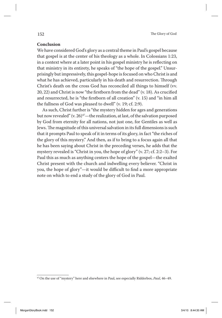### **Conclusion**

We have considered God's glory as a central theme in Paul's gospel because that gospel is at the center of his theology as a whole. In Colossians 1:23, in a context where at a later point in his gospel ministry he is reflecting on that ministry in its entirety, he speaks of "the hope of the gospel." Unsurprisingly but impressively, this gospel-hope is focused on who Christ is and what he has achieved, particularly in his death and resurrection. Through Christ's death on the cross God has reconciled all things to himself (vv. 20, 22) and Christ is now "the firstborn from the dead" (v. 18). As crucified and resurrected, he is "the firstborn of all creation" (v. 15) and "in him all the fullness of God was pleased to dwell" (v. 19; cf. 2:9).

As such, Christ further is "the mystery hidden for ages and generations but now revealed" (v.  $26^{47}$ —the realization, at last, of the salvation purposed by God from eternity for all nations, not just one, for Gentiles as well as Jews. The magnitude of this universal salvation in its full dimensions is such that it prompts Paul to speak of it in terms of its glory, in fact "the riches of the glory of this mystery." And then, as if to bring to a focus again all that he has been saying about Christ in the preceding verses, he adds that the mystery revealed is "Christ in you, the hope of glory" (v. 27; cf. 2:2–3). For Paul this as much as anything centers the hope of the gospel—the exalted Christ present with the church and indwelling every believer. "Christ in you, the hope of glory"—it would be difficult to find a more appropriate note on which to end a study of the glory of God in Paul.

<sup>&</sup>lt;sup>47</sup> On the use of "mystery" here and elsewhere in Paul, see especially Ridderbos, Paul, 46-49.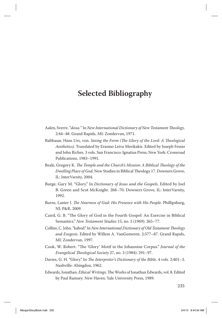## **Selected Bibliography**

- Aalen, Sverre. "doxa." In New International Dictionary of New Testament Theology. 2:44–48. Grand Rapids, MI: Zondervan, 1971.
- Balthasar, Hans Urs, von. Seeing the Form (The Glory of the Lord: A Theological Aesthetics). Translated by Erasmo Leiva Merikakis. Edited by Joseph Fessio and John Riches. 3 vols. San Francisco: Ignatius Press; New York: Crossroad Publications, 1983–1991.
- Beale, Gregory K. The Temple and the Church's Mission: A Biblical Theology of the Dwelling Place of God. New Studies in Biblical Theology 17. Downers Grove, IL: InterVarsity, 2004.
- Burge, Gary M. "Glory." In Dictionary of Jesus and the Gospels. Edited by Joel B. Green and Scot McKnight. 268–70. Downers Grove, IL: InterVarsity, 1992.
- Burns, Lanier J. The Nearness of God: His Presence with His People. Phillipsburg, NJ: P&R, 2009.
- Caird, G. B. "The Glory of God in the Fourth Gospel: An Exercise in Biblical Semantics." New Testament Studies 15, no. 3 (1969): 265–77.
- Collins, C. John. "kabod." In New International Dictionary of Old Testament Theology and Exegesis. Edited by Willem A. VanGemeren. 2:577-87. Grand Rapids, MI: Zondervan, 1997.
- Cook, W. Robert. "The 'Glory' Motif in the Johannine Corpus." Journal of the Evangelical Theological Society 27, no. 3 (1984): 291-97.
- Davies, G. H. "Glory." In *The Interpreter's Dictionary of the Bible*. 4 vols. 2:401–3. Nashville: Abingdon, 1962.
- Edwards, Jonathan. Ethical Writings. The Works of Jonathan Edwards, vol. 8. Edited by Paul Ramsey. New Haven: Yale University Press, 1989.

235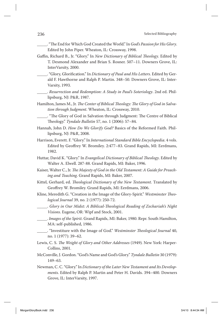- . "The End for Which God Created the World." In God's Passion for His Glory. Edited by John Piper. Wheaton, IL: Crossway, 1998.
- Gaffin, Richard B., Jr. "Glory." In New Dictionary of Biblical Theology. Edited by T. Desmond Alexander and Brian S. Rosner. 507–11. Downers Grove, IL: InterVarsity, 2000.
	- . "Glory, Glorification." In Dictionary of Paul and His Letters. Edited by Gerald F. Hawthorne and Ralph P. Martin. 348–50. Downers Grove, IL: Inter-Varsity, 1993.
	- \_\_\_\_\_. Resurrection and Redemption: A Study in Paul's Soteriology. 2nd ed. Phillipsburg, NJ: P&R, 1987.
- Hamilton, James M., Jr. The Center of Biblical Theology: The Glory of God in Salvation through Judgment. Wheaton, IL: Crossway, 2010.
	- \_\_\_. "The Glory of God in Salvation through Judgment: The Centre of Biblical Theology." Tyndale Bulletin 57, no. 1 (2006): 57–84.
- Hannah, John D. How Do We Glorify God? Basics of the Reformed Faith. Phillipsburg, NJ: P&R, 2008.
- Harrison, Everett. F. "Glory." In International Standard Bible Encyclopedia. 4 vols. Edited by Geoffrey W. Bromiley. 2:477–83. Grand Rapids, MI: Eerdmans, 1982.
- Huttar, David K. "Glory." In Evangelical Dictionary of Biblical Theology. Edited by Walter A. Elwell. 287-88. Grand Rapids, MI: Baker, 1996.
- Kaiser, Walter C., Jr. The Majesty of God in the Old Testament: A Guide for Preaching and Teaching. Grand Rapids, MI: Baker, 2007.
- Kittel, Gerhard, ed. *Theological Dictionary of the New Testament*. Translated by Geoffrey W. Bromiley. Grand Rapids, MI: Eerdmans, 2006.
- Kline, Meredith G. "Creation in the Image of the Glory-Spirit." Westminster Theological Journal 39, no. 2 (1977): 250-72.
- . Glory in Our Midst: A Biblical-Theological Reading of Zechariah's Night Visions. Eugene, OR: Wipf and Stock, 2001.
- *\_\_\_\_\_. Images of the Spirit.* Grand Rapids, MI: Baker, 1980. Repr. South Hamilton, MA: self-published, 1986.
- . "Investiture with the Image of God." Westminster Theological Journal 40, no. 1 (1977): 39–62.
- Lewis, C. S. The Weight of Glory and Other Addresses (1949). New York: Harper-Collins, 2001.
- McConville, J. Gordon. "God's Name and God's Glory." Tyndale Bulletin 30 (1979): 149–63.
- Newman, C. C. "Glory." In Dictionary of the Later New Testament and Its Developments. Edited by Ralph P. Martin and Peter H. Davids. 394–400. Downers Grove, IL: InterVarsity, 1997.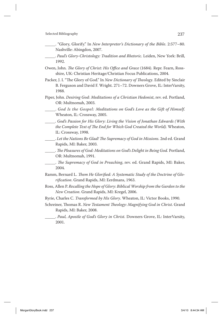Selected Bibliography 237

- \_\_\_\_\_. "Glory, Glorify." In New Interpreter's Dictionary of the Bible. 2:577–80. Nashville: Abingdon, 2007.
- .. Paul's Glory-Christology: Tradition and Rhetoric. Leiden, New York: Brill, 1992.
- Owen, John. The Glory of Christ: His Office and Grace (1684). Repr. Fearn, Rossshire, UK: Christian Heritage/Christian Focus Publications, 2004.
- Packer, J. I. "The Glory of God." In New Dictionary of Theology. Edited by Sinclair B. Ferguson and David F. Wright. 271–72. Downers Grove, IL: InterVarsity, 1988.
- Piper, John. Desiring God: Meditations of a Christian Hedonist, rev. ed. Portland, OR: Multnomah, 2003.
- \_\_\_\_\_. God Is the Gospel: Meditations on God's Love as the Gift of Himself. Wheaton, IL: Crossway, 2005.
- \_\_\_\_\_. God's Passion for His Glory: Living the Vision of Jonathan Edwards (With the Complete Text of The End for Which God Created the World). Wheaton, IL: Crossway, 1998.
- .. Let the Nations Be Glad! The Supremacy of God in Missions. 2nd ed. Grand Rapids, MI: Baker, 2003.
	- \_\_\_\_\_. !e Pleasures of God: Meditations on God's Delight in Being God. Portland, OR: Multnomah, 1991.
- . The Supremacy of God in Preaching, rev. ed. Grand Rapids, MI: Baker, 2004.
- Ramm, Bernard L. Them He Glorified: A Systematic Study of the Doctrine of Glorification. Grand Rapids, MI: Eerdmans, 1963.
- Ross, Allen P. Recalling the Hope of Glory: Biblical Worship from the Garden to the New Creation. Grand Rapids, MI: Kregel, 2006.
- Ryrie, Charles C. Transformed by His Glory. Wheaton, IL: Victor Books, 1990.
- Schreiner, Thomas R. New Testament Theology: Magnifying God in Christ. Grand Rapids, MI: Baker, 2008.
	- \_\_\_\_\_. Paul, Apostle of God's Glory in Christ. Downers Grove, IL: InterVarsity, 2001.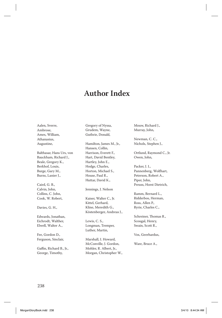## **Author Index**

Aalen, Sverre, Ambrose, Ames, William, Athanasius, Augustine,

Balthasar, Hans Urs, von Bauckham, Richard J., Beale, Gregory K., Berkhof, Louis, Burge, Gary M., Burns, Lanier J.,

Caird, G. B., Calvin, John, Collins, C. John, Cook, W. Robert,

Davies, G. H.,

Edwards, Jonathan, Eichrodt, Walther, Elwell, Walter A.,

Fee, Gordon D., Ferguson, Sinclair,

Gaffin, Richard B., Jr., George, Timothy,

Gregory of Nyssa, Grudem, Wayne, Guthrie, Donald,

Hamilton, James M., Jr., Hansen, Collin, Harrison, Everett F., Hart, David Bentley, Hartley, John E., Hodge, Charles, Horton, Michael S., House, Paul R., Huttar, David K.,

Jennings, J. Nelson

Kaiser, Walter C., Jr. Kittel, Gerhard, Kline, Meredith G., Köstenberger, Andreas J.,

Lewis, C. S., Longman, Tremper, Luther, Martin,

Marshall, I. Howard, McConville, J. Gordon, Mohler, R. Albert, Jr., Morgan, Christopher W., Mouw, Richard J., Murray, John,

Newman, C. C., Nichols, Stephen J.,

Ortlund, Raymond C., Jr. Owen, John,

Packer, J. I., Pannenberg, Wolfhart, Peterson, Robert A., Piper, John, Preuss, Horst Dietrich,

Ramm, Bernard L., Ridderbos, Herman, Ross, Allen P., Ryrie, Charles C.,

Schreiner, Thomas R., Scougal, Henry, Swain, Scott R.,

Vos, Geerhardus,

Ware, Bruce A.,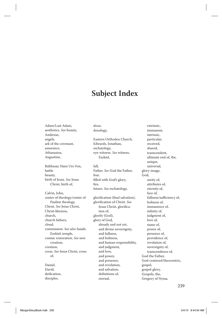## **Subject Index**

Adam/Last Adam, aesthetics. See beauty, Ambrose, angels, ark of the covenant, assurance, Athanasius, Augustine, Balthasar, Hans Urs Von, battle beauty, birth of Jesus. See Jesus Christ, birth of, Calvin, John, center of theology/center of Pauline theology, Christ. See Jesus Christ, Christ-likeness, church, church fathers, cloud, commission. See also Isaiah; Ezekiel; temple, cosmic restoration. See new creation, creation, cross. See Jesus Christ, cross of, Daniel, David,

deification, disciples,

doxa, doxology,

Eastern Orthodox Church, Edwards, Jonathan, eschatology, eye-witness. See witness, Ezekiel,

fall, Father. See God the Father, fear, filled with God's glory, fire, future. See eschatology,

glorification (final salvation), glorification of Christ. See Jesus Christ, glorification of, glorify (God), glory of God, already and not yet, and divine sovereignty, and fullness, and holiness, and human responsibility, and judgment, and love, and power, and presence, and revelation, and salvation, definitions of, eternal,

extrinsic, immanent, intrinsic, particular, received, shared, transcendent, ultimate end of, the, unique, universal, glory-image, God, aseity of, attributes of, eternity of, face of, fullness/sufficiency of, holiness of, immanence of, infinity of, judgment of, love of, name of, power of, presence of, providence of, revelation of, sovereignty of, transcendence of, God the Father, God-centered/theocentric, gospel, gospel-glory, Gospels, the, Gregory of Nyssa,